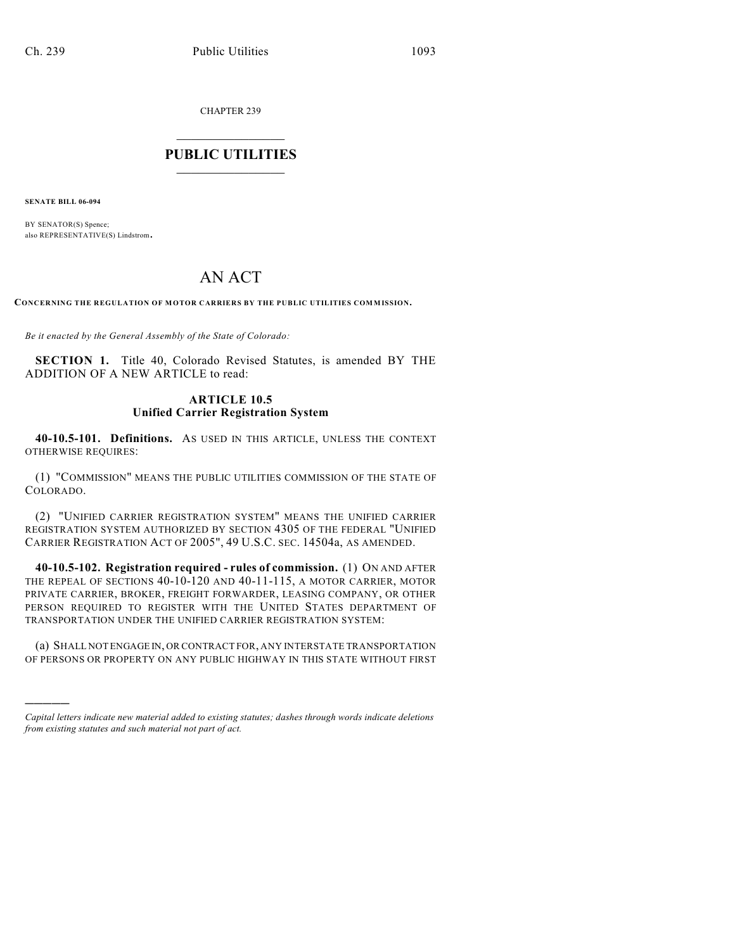CHAPTER 239

## $\overline{\phantom{a}}$  . The set of the set of the set of the set of the set of the set of the set of the set of the set of the set of the set of the set of the set of the set of the set of the set of the set of the set of the set o **PUBLIC UTILITIES** \_\_\_\_\_\_\_\_\_\_\_\_\_\_\_

**SENATE BILL 06-094**

)))))

BY SENATOR(S) Spence; also REPRESENTATIVE(S) Lindstrom.

# AN ACT

**CONCERNING THE REGULATION OF MOTOR CARRIERS BY THE PUBLIC UTILITIES COMMISSION.**

*Be it enacted by the General Assembly of the State of Colorado:*

**SECTION 1.** Title 40, Colorado Revised Statutes, is amended BY THE ADDITION OF A NEW ARTICLE to read:

## **ARTICLE 10.5 Unified Carrier Registration System**

**40-10.5-101. Definitions.** AS USED IN THIS ARTICLE, UNLESS THE CONTEXT OTHERWISE REQUIRES:

(1) "COMMISSION" MEANS THE PUBLIC UTILITIES COMMISSION OF THE STATE OF COLORADO.

(2) "UNIFIED CARRIER REGISTRATION SYSTEM" MEANS THE UNIFIED CARRIER REGISTRATION SYSTEM AUTHORIZED BY SECTION 4305 OF THE FEDERAL "UNIFIED CARRIER REGISTRATION ACT OF 2005", 49 U.S.C. SEC. 14504a, AS AMENDED.

**40-10.5-102. Registration required - rules of commission.** (1) ON AND AFTER THE REPEAL OF SECTIONS 40-10-120 AND 40-11-115, A MOTOR CARRIER, MOTOR PRIVATE CARRIER, BROKER, FREIGHT FORWARDER, LEASING COMPANY, OR OTHER PERSON REQUIRED TO REGISTER WITH THE UNITED STATES DEPARTMENT OF TRANSPORTATION UNDER THE UNIFIED CARRIER REGISTRATION SYSTEM:

(a) SHALL NOT ENGAGE IN, OR CONTRACT FOR, ANY INTERSTATE TRANSPORTATION OF PERSONS OR PROPERTY ON ANY PUBLIC HIGHWAY IN THIS STATE WITHOUT FIRST

*Capital letters indicate new material added to existing statutes; dashes through words indicate deletions from existing statutes and such material not part of act.*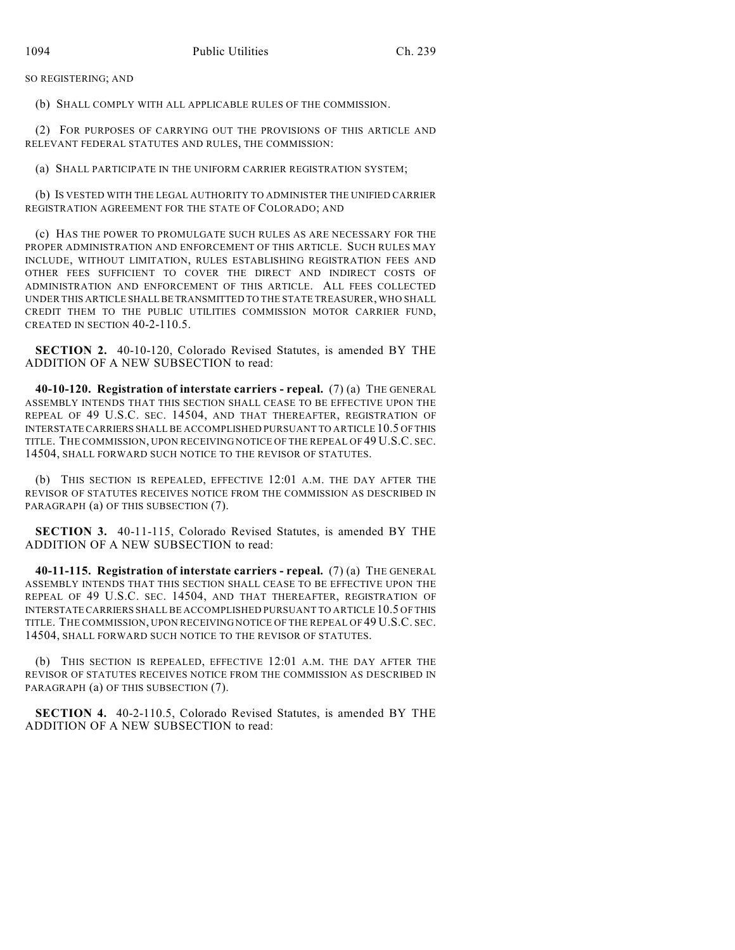SO REGISTERING; AND

(b) SHALL COMPLY WITH ALL APPLICABLE RULES OF THE COMMISSION.

(2) FOR PURPOSES OF CARRYING OUT THE PROVISIONS OF THIS ARTICLE AND RELEVANT FEDERAL STATUTES AND RULES, THE COMMISSION:

(a) SHALL PARTICIPATE IN THE UNIFORM CARRIER REGISTRATION SYSTEM;

(b) IS VESTED WITH THE LEGAL AUTHORITY TO ADMINISTER THE UNIFIED CARRIER REGISTRATION AGREEMENT FOR THE STATE OF COLORADO; AND

(c) HAS THE POWER TO PROMULGATE SUCH RULES AS ARE NECESSARY FOR THE PROPER ADMINISTRATION AND ENFORCEMENT OF THIS ARTICLE. SUCH RULES MAY INCLUDE, WITHOUT LIMITATION, RULES ESTABLISHING REGISTRATION FEES AND OTHER FEES SUFFICIENT TO COVER THE DIRECT AND INDIRECT COSTS OF ADMINISTRATION AND ENFORCEMENT OF THIS ARTICLE. ALL FEES COLLECTED UNDER THIS ARTICLE SHALL BE TRANSMITTED TO THE STATE TREASURER, WHO SHALL CREDIT THEM TO THE PUBLIC UTILITIES COMMISSION MOTOR CARRIER FUND, CREATED IN SECTION 40-2-110.5.

**SECTION 2.** 40-10-120, Colorado Revised Statutes, is amended BY THE ADDITION OF A NEW SUBSECTION to read:

**40-10-120. Registration of interstate carriers - repeal.** (7) (a) THE GENERAL ASSEMBLY INTENDS THAT THIS SECTION SHALL CEASE TO BE EFFECTIVE UPON THE REPEAL OF 49 U.S.C. SEC. 14504, AND THAT THEREAFTER, REGISTRATION OF INTERSTATE CARRIERS SHALL BE ACCOMPLISHED PURSUANT TO ARTICLE 10.5 OF THIS TITLE. THE COMMISSION, UPON RECEIVING NOTICE OF THE REPEAL OF 49 U.S.C. SEC. 14504, SHALL FORWARD SUCH NOTICE TO THE REVISOR OF STATUTES.

(b) THIS SECTION IS REPEALED, EFFECTIVE 12:01 A.M. THE DAY AFTER THE REVISOR OF STATUTES RECEIVES NOTICE FROM THE COMMISSION AS DESCRIBED IN PARAGRAPH (a) OF THIS SUBSECTION (7).

**SECTION 3.** 40-11-115, Colorado Revised Statutes, is amended BY THE ADDITION OF A NEW SUBSECTION to read:

**40-11-115. Registration of interstate carriers - repeal.** (7) (a) THE GENERAL ASSEMBLY INTENDS THAT THIS SECTION SHALL CEASE TO BE EFFECTIVE UPON THE REPEAL OF 49 U.S.C. SEC. 14504, AND THAT THEREAFTER, REGISTRATION OF INTERSTATE CARRIERS SHALL BE ACCOMPLISHED PURSUANT TO ARTICLE 10.5 OF THIS TITLE. THE COMMISSION, UPON RECEIVING NOTICE OF THE REPEAL OF 49 U.S.C. SEC. 14504, SHALL FORWARD SUCH NOTICE TO THE REVISOR OF STATUTES.

(b) THIS SECTION IS REPEALED, EFFECTIVE 12:01 A.M. THE DAY AFTER THE REVISOR OF STATUTES RECEIVES NOTICE FROM THE COMMISSION AS DESCRIBED IN PARAGRAPH (a) OF THIS SUBSECTION (7).

**SECTION 4.** 40-2-110.5, Colorado Revised Statutes, is amended BY THE ADDITION OF A NEW SUBSECTION to read: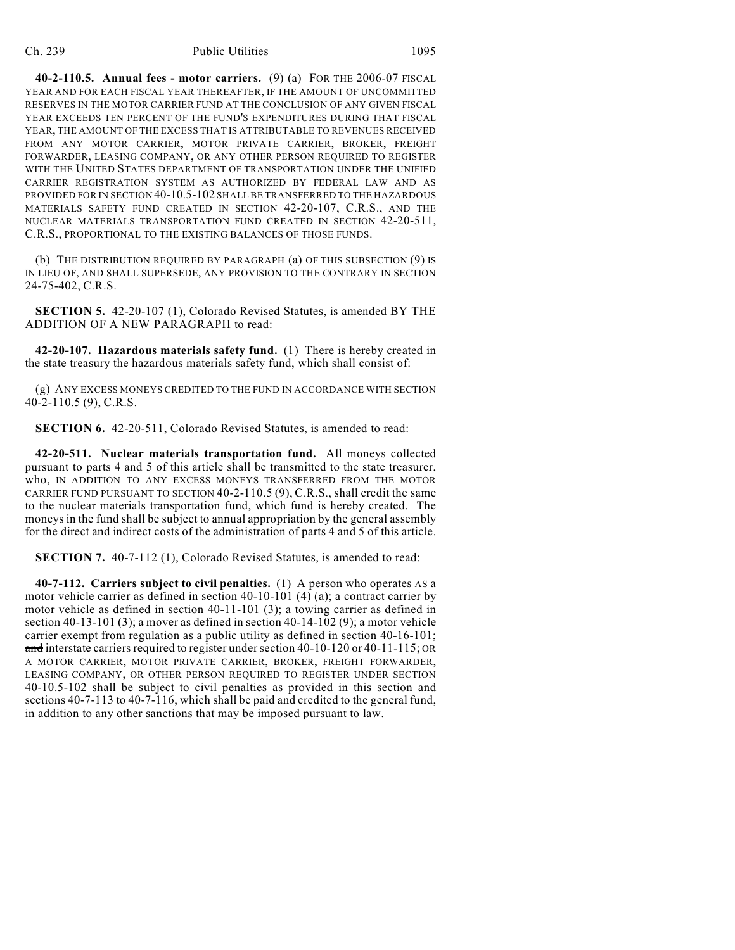**40-2-110.5. Annual fees - motor carriers.** (9) (a) FOR THE 2006-07 FISCAL YEAR AND FOR EACH FISCAL YEAR THEREAFTER, IF THE AMOUNT OF UNCOMMITTED RESERVES IN THE MOTOR CARRIER FUND AT THE CONCLUSION OF ANY GIVEN FISCAL YEAR EXCEEDS TEN PERCENT OF THE FUND'S EXPENDITURES DURING THAT FISCAL YEAR, THE AMOUNT OF THE EXCESS THAT IS ATTRIBUTABLE TO REVENUES RECEIVED FROM ANY MOTOR CARRIER, MOTOR PRIVATE CARRIER, BROKER, FREIGHT FORWARDER, LEASING COMPANY, OR ANY OTHER PERSON REQUIRED TO REGISTER WITH THE UNITED STATES DEPARTMENT OF TRANSPORTATION UNDER THE UNIFIED CARRIER REGISTRATION SYSTEM AS AUTHORIZED BY FEDERAL LAW AND AS PROVIDED FOR IN SECTION 40-10.5-102 SHALL BE TRANSFERRED TO THE HAZARDOUS MATERIALS SAFETY FUND CREATED IN SECTION 42-20-107, C.R.S., AND THE NUCLEAR MATERIALS TRANSPORTATION FUND CREATED IN SECTION 42-20-511, C.R.S., PROPORTIONAL TO THE EXISTING BALANCES OF THOSE FUNDS.

(b) THE DISTRIBUTION REQUIRED BY PARAGRAPH (a) OF THIS SUBSECTION (9) IS IN LIEU OF, AND SHALL SUPERSEDE, ANY PROVISION TO THE CONTRARY IN SECTION 24-75-402, C.R.S.

**SECTION 5.** 42-20-107 (1), Colorado Revised Statutes, is amended BY THE ADDITION OF A NEW PARAGRAPH to read:

**42-20-107. Hazardous materials safety fund.** (1) There is hereby created in the state treasury the hazardous materials safety fund, which shall consist of:

(g) ANY EXCESS MONEYS CREDITED TO THE FUND IN ACCORDANCE WITH SECTION 40-2-110.5 (9), C.R.S.

**SECTION 6.** 42-20-511, Colorado Revised Statutes, is amended to read:

**42-20-511. Nuclear materials transportation fund.** All moneys collected pursuant to parts 4 and 5 of this article shall be transmitted to the state treasurer, who, IN ADDITION TO ANY EXCESS MONEYS TRANSFERRED FROM THE MOTOR CARRIER FUND PURSUANT TO SECTION 40-2-110.5 (9), C.R.S., shall credit the same to the nuclear materials transportation fund, which fund is hereby created. The moneys in the fund shall be subject to annual appropriation by the general assembly for the direct and indirect costs of the administration of parts 4 and 5 of this article.

**SECTION 7.** 40-7-112 (1), Colorado Revised Statutes, is amended to read:

**40-7-112. Carriers subject to civil penalties.** (1) A person who operates AS a motor vehicle carrier as defined in section 40-10-101 (4) (a); a contract carrier by motor vehicle as defined in section 40-11-101 (3); a towing carrier as defined in section 40-13-101 (3); a mover as defined in section 40-14-102 (9); a motor vehicle carrier exempt from regulation as a public utility as defined in section 40-16-101; and interstate carriers required to register under section 40-10-120 or 40-11-115; OR A MOTOR CARRIER, MOTOR PRIVATE CARRIER, BROKER, FREIGHT FORWARDER, LEASING COMPANY, OR OTHER PERSON REQUIRED TO REGISTER UNDER SECTION 40-10.5-102 shall be subject to civil penalties as provided in this section and sections 40-7-113 to 40-7-116, which shall be paid and credited to the general fund, in addition to any other sanctions that may be imposed pursuant to law.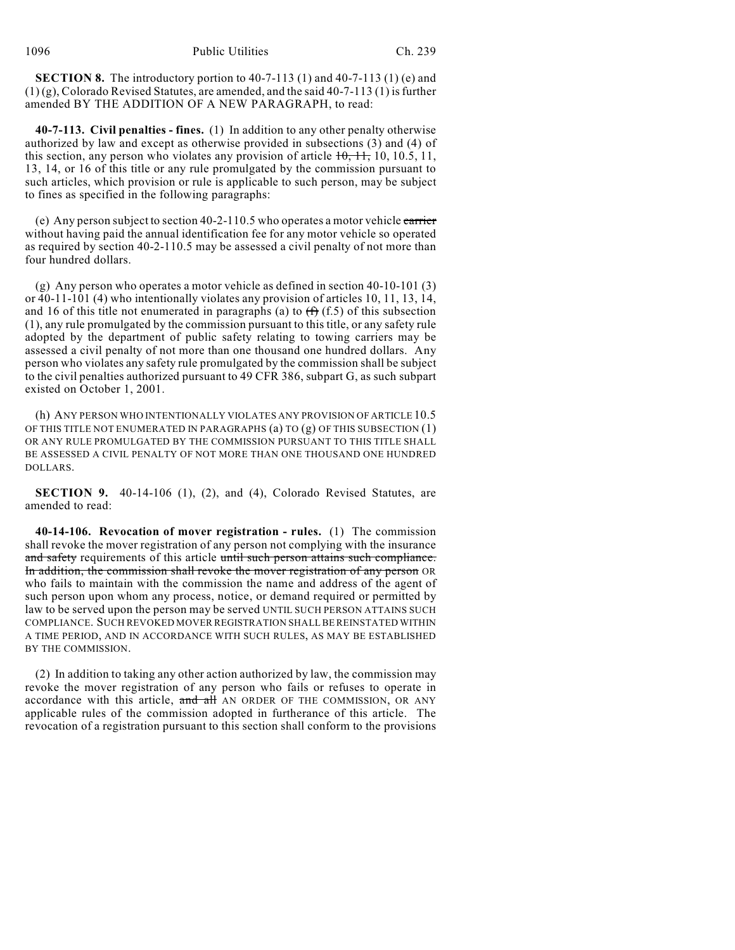**SECTION 8.** The introductory portion to 40-7-113 (1) and 40-7-113 (1) (e) and  $(1)$  (g), Colorado Revised Statutes, are amended, and the said 40-7-113 (1) is further amended BY THE ADDITION OF A NEW PARAGRAPH, to read:

**40-7-113. Civil penalties - fines.** (1) In addition to any other penalty otherwise authorized by law and except as otherwise provided in subsections (3) and (4) of this section, any person who violates any provision of article  $10, 11, 10, 10.5, 11$ , 13, 14, or 16 of this title or any rule promulgated by the commission pursuant to such articles, which provision or rule is applicable to such person, may be subject to fines as specified in the following paragraphs:

(e) Any person subject to section  $40-2-110.5$  who operates a motor vehicle carrier without having paid the annual identification fee for any motor vehicle so operated as required by section 40-2-110.5 may be assessed a civil penalty of not more than four hundred dollars.

(g) Any person who operates a motor vehicle as defined in section 40-10-101 (3) or 40-11-101 (4) who intentionally violates any provision of articles 10, 11, 13, 14, and 16 of this title not enumerated in paragraphs (a) to  $(f)$  (f.5) of this subsection (1), any rule promulgated by the commission pursuant to this title, or any safety rule adopted by the department of public safety relating to towing carriers may be assessed a civil penalty of not more than one thousand one hundred dollars. Any person who violates any safety rule promulgated by the commission shall be subject to the civil penalties authorized pursuant to 49 CFR 386, subpart G, as such subpart existed on October 1, 2001.

(h) ANY PERSON WHO INTENTIONALLY VIOLATES ANY PROVISION OF ARTICLE 10.5 OF THIS TITLE NOT ENUMERATED IN PARAGRAPHS (a) TO (g) OF THIS SUBSECTION (1) OR ANY RULE PROMULGATED BY THE COMMISSION PURSUANT TO THIS TITLE SHALL BE ASSESSED A CIVIL PENALTY OF NOT MORE THAN ONE THOUSAND ONE HUNDRED DOLLARS.

**SECTION 9.** 40-14-106 (1), (2), and (4), Colorado Revised Statutes, are amended to read:

**40-14-106. Revocation of mover registration - rules.** (1) The commission shall revoke the mover registration of any person not complying with the insurance and safety requirements of this article until such person attains such compliance. In addition, the commission shall revoke the mover registration of any person OR who fails to maintain with the commission the name and address of the agent of such person upon whom any process, notice, or demand required or permitted by law to be served upon the person may be served UNTIL SUCH PERSON ATTAINS SUCH COMPLIANCE. SUCH REVOKED MOVER REGISTRATION SHALL BE REINSTATED WITHIN A TIME PERIOD, AND IN ACCORDANCE WITH SUCH RULES, AS MAY BE ESTABLISHED BY THE COMMISSION.

(2) In addition to taking any other action authorized by law, the commission may revoke the mover registration of any person who fails or refuses to operate in accordance with this article, and all AN ORDER OF THE COMMISSION, OR ANY applicable rules of the commission adopted in furtherance of this article. The revocation of a registration pursuant to this section shall conform to the provisions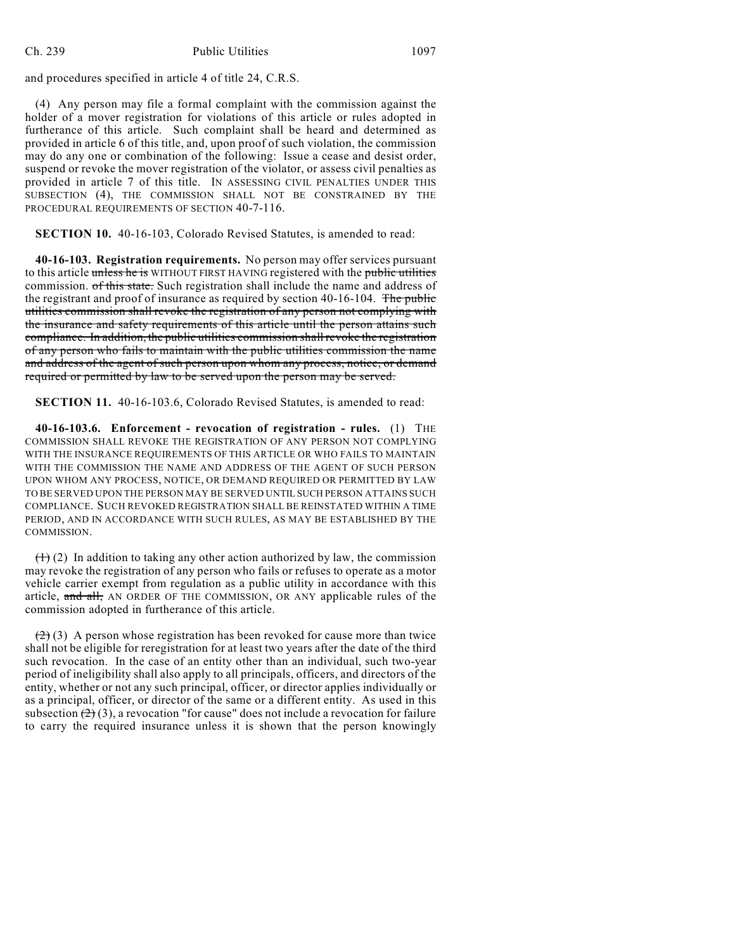and procedures specified in article 4 of title 24, C.R.S.

(4) Any person may file a formal complaint with the commission against the holder of a mover registration for violations of this article or rules adopted in furtherance of this article. Such complaint shall be heard and determined as provided in article 6 of this title, and, upon proof of such violation, the commission may do any one or combination of the following: Issue a cease and desist order, suspend or revoke the mover registration of the violator, or assess civil penalties as provided in article 7 of this title. IN ASSESSING CIVIL PENALTIES UNDER THIS SUBSECTION (4), THE COMMISSION SHALL NOT BE CONSTRAINED BY THE PROCEDURAL REQUIREMENTS OF SECTION 40-7-116.

**SECTION 10.** 40-16-103, Colorado Revised Statutes, is amended to read:

**40-16-103. Registration requirements.** No person may offer services pursuant to this article unless he is WITHOUT FIRST HAVING registered with the public utilities commission. of this state. Such registration shall include the name and address of the registrant and proof of insurance as required by section 40-16-104. The public utilities commission shall revoke the registration of any person not complying with the insurance and safety requirements of this article until the person attains such compliance. In addition, the public utilities commission shall revoke the registration of any person who fails to maintain with the public utilities commission the name and address of the agent of such person upon whom any process, notice, or demand required or permitted by law to be served upon the person may be served.

**SECTION 11.** 40-16-103.6, Colorado Revised Statutes, is amended to read:

**40-16-103.6. Enforcement - revocation of registration - rules.** (1) THE COMMISSION SHALL REVOKE THE REGISTRATION OF ANY PERSON NOT COMPLYING WITH THE INSURANCE REQUIREMENTS OF THIS ARTICLE OR WHO FAILS TO MAINTAIN WITH THE COMMISSION THE NAME AND ADDRESS OF THE AGENT OF SUCH PERSON UPON WHOM ANY PROCESS, NOTICE, OR DEMAND REQUIRED OR PERMITTED BY LAW TO BE SERVED UPON THE PERSON MAY BE SERVED UNTIL SUCH PERSON ATTAINS SUCH COMPLIANCE. SUCH REVOKED REGISTRATION SHALL BE REINSTATED WITHIN A TIME PERIOD, AND IN ACCORDANCE WITH SUCH RULES, AS MAY BE ESTABLISHED BY THE COMMISSION.

 $(1)$  (2) In addition to taking any other action authorized by law, the commission may revoke the registration of any person who fails or refuses to operate as a motor vehicle carrier exempt from regulation as a public utility in accordance with this article, and all, AN ORDER OF THE COMMISSION, OR ANY applicable rules of the commission adopted in furtherance of this article.

 $(2)$  (3) A person whose registration has been revoked for cause more than twice shall not be eligible for reregistration for at least two years after the date of the third such revocation. In the case of an entity other than an individual, such two-year period of ineligibility shall also apply to all principals, officers, and directors of the entity, whether or not any such principal, officer, or director applies individually or as a principal, officer, or director of the same or a different entity. As used in this subsection  $(2)(3)$ , a revocation "for cause" does not include a revocation for failure to carry the required insurance unless it is shown that the person knowingly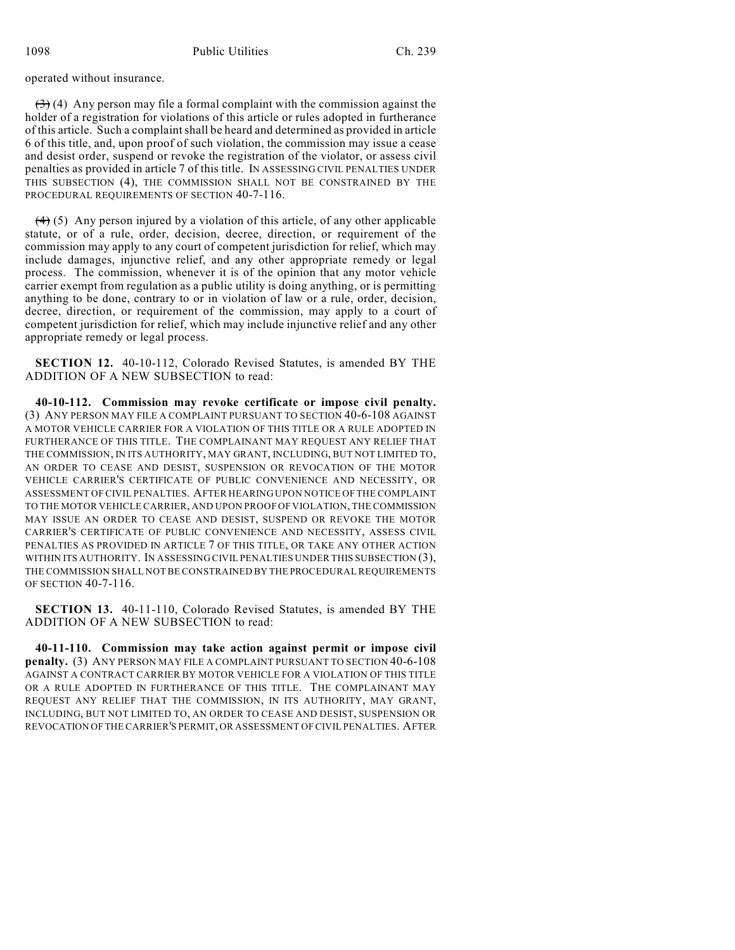operated without insurance.

 $(3)$  (4) Any person may file a formal complaint with the commission against the holder of a registration for violations of this article or rules adopted in furtherance of this article. Such a complaint shall be heard and determined as provided in article 6 of this title, and, upon proof of such violation, the commission may issue a cease and desist order, suspend or revoke the registration of the violator, or assess civil penalties as provided in article 7 of this title. IN ASSESSING CIVIL PENALTIES UNDER THIS SUBSECTION (4), THE COMMISSION SHALL NOT BE CONSTRAINED BY THE PROCEDURAL REQUIREMENTS OF SECTION 40-7-116.

 $(4)$  (5) Any person injured by a violation of this article, of any other applicable statute, or of a rule, order, decision, decree, direction, or requirement of the commission may apply to any court of competent jurisdiction for relief, which may include damages, injunctive relief, and any other appropriate remedy or legal process. The commission, whenever it is of the opinion that any motor vehicle carrier exempt from regulation as a public utility is doing anything, or is permitting anything to be done, contrary to or in violation of law or a rule, order, decision, decree, direction, or requirement of the commission, may apply to a court of competent jurisdiction for relief, which may include injunctive relief and any other appropriate remedy or legal process.

**SECTION 12.** 40-10-112, Colorado Revised Statutes, is amended BY THE ADDITION OF A NEW SUBSECTION to read:

**40-10-112. Commission may revoke certificate or impose civil penalty.** (3) ANY PERSON MAY FILE A COMPLAINT PURSUANT TO SECTION 40-6-108 AGAINST A MOTOR VEHICLE CARRIER FOR A VIOLATION OF THIS TITLE OR A RULE ADOPTED IN FURTHERANCE OF THIS TITLE. THE COMPLAINANT MAY REQUEST ANY RELIEF THAT THE COMMISSION, IN ITS AUTHORITY, MAY GRANT, INCLUDING, BUT NOT LIMITED TO, AN ORDER TO CEASE AND DESIST, SUSPENSION OR REVOCATION OF THE MOTOR VEHICLE CARRIER'S CERTIFICATE OF PUBLIC CONVENIENCE AND NECESSITY, OR ASSESSMENT OF CIVIL PENALTIES. AFTER HEARING UPON NOTICE OFTHE COMPLAINT TO THE MOTOR VEHICLE CARRIER, AND UPON PROOF OF VIOLATION, THE COMMISSION MAY ISSUE AN ORDER TO CEASE AND DESIST, SUSPEND OR REVOKE THE MOTOR CARRIER'S CERTIFICATE OF PUBLIC CONVENIENCE AND NECESSITY, ASSESS CIVIL PENALTIES AS PROVIDED IN ARTICLE 7 OF THIS TITLE, OR TAKE ANY OTHER ACTION WITHIN ITS AUTHORITY. IN ASSESSING CIVIL PENALTIES UNDER THIS SUBSECTION (3), THE COMMISSION SHALL NOT BE CONSTRAINED BY THE PROCEDURAL REQUIREMENTS OF SECTION 40-7-116.

**SECTION 13.** 40-11-110, Colorado Revised Statutes, is amended BY THE ADDITION OF A NEW SUBSECTION to read:

**40-11-110. Commission may take action against permit or impose civil penalty.** (3) ANY PERSON MAY FILE A COMPLAINT PURSUANT TO SECTION 40-6-108 AGAINST A CONTRACT CARRIER BY MOTOR VEHICLE FOR A VIOLATION OF THIS TITLE OR A RULE ADOPTED IN FURTHERANCE OF THIS TITLE. THE COMPLAINANT MAY REQUEST ANY RELIEF THAT THE COMMISSION, IN ITS AUTHORITY, MAY GRANT, INCLUDING, BUT NOT LIMITED TO, AN ORDER TO CEASE AND DESIST, SUSPENSION OR REVOCATION OF THE CARRIER'S PERMIT, OR ASSESSMENT OF CIVIL PENALTIES. AFTER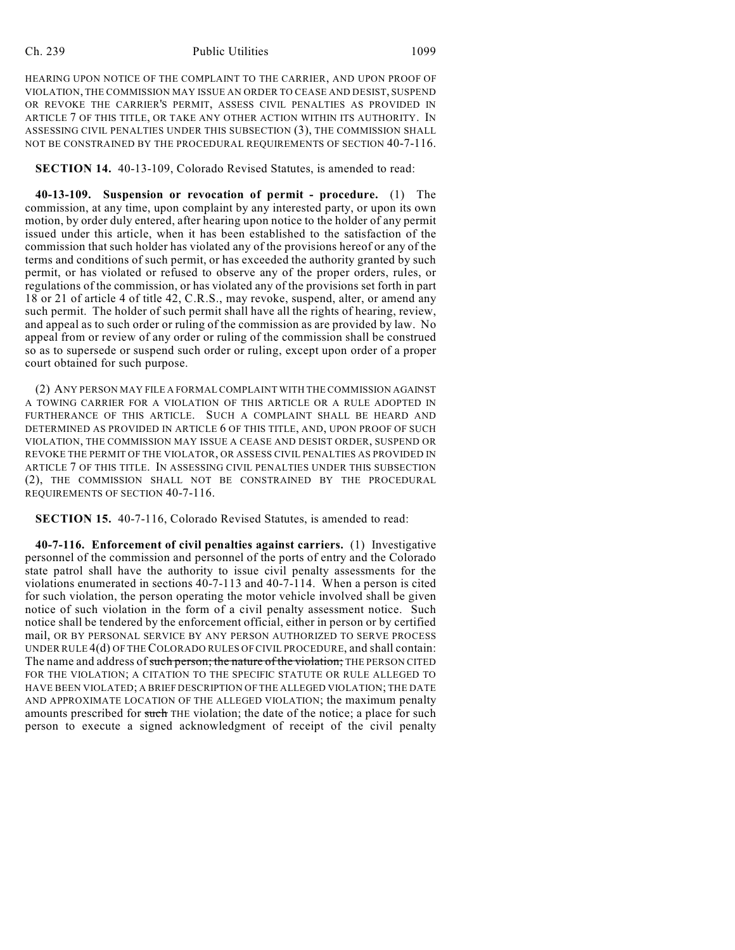### Ch. 239 Public Utilities 1099

HEARING UPON NOTICE OF THE COMPLAINT TO THE CARRIER, AND UPON PROOF OF VIOLATION, THE COMMISSION MAY ISSUE AN ORDER TO CEASE AND DESIST, SUSPEND OR REVOKE THE CARRIER'S PERMIT, ASSESS CIVIL PENALTIES AS PROVIDED IN ARTICLE 7 OF THIS TITLE, OR TAKE ANY OTHER ACTION WITHIN ITS AUTHORITY. IN ASSESSING CIVIL PENALTIES UNDER THIS SUBSECTION (3), THE COMMISSION SHALL NOT BE CONSTRAINED BY THE PROCEDURAL REQUIREMENTS OF SECTION 40-7-116.

### **SECTION 14.** 40-13-109, Colorado Revised Statutes, is amended to read:

**40-13-109. Suspension or revocation of permit - procedure.** (1) The commission, at any time, upon complaint by any interested party, or upon its own motion, by order duly entered, after hearing upon notice to the holder of any permit issued under this article, when it has been established to the satisfaction of the commission that such holder has violated any of the provisions hereof or any of the terms and conditions of such permit, or has exceeded the authority granted by such permit, or has violated or refused to observe any of the proper orders, rules, or regulations of the commission, or has violated any of the provisions set forth in part 18 or 21 of article 4 of title 42, C.R.S., may revoke, suspend, alter, or amend any such permit. The holder of such permit shall have all the rights of hearing, review, and appeal as to such order or ruling of the commission as are provided by law. No appeal from or review of any order or ruling of the commission shall be construed so as to supersede or suspend such order or ruling, except upon order of a proper court obtained for such purpose.

(2) ANY PERSON MAY FILE A FORMAL COMPLAINT WITH THE COMMISSION AGAINST A TOWING CARRIER FOR A VIOLATION OF THIS ARTICLE OR A RULE ADOPTED IN FURTHERANCE OF THIS ARTICLE. SUCH A COMPLAINT SHALL BE HEARD AND DETERMINED AS PROVIDED IN ARTICLE 6 OF THIS TITLE, AND, UPON PROOF OF SUCH VIOLATION, THE COMMISSION MAY ISSUE A CEASE AND DESIST ORDER, SUSPEND OR REVOKE THE PERMIT OF THE VIOLATOR, OR ASSESS CIVIL PENALTIES AS PROVIDED IN ARTICLE 7 OF THIS TITLE. IN ASSESSING CIVIL PENALTIES UNDER THIS SUBSECTION (2), THE COMMISSION SHALL NOT BE CONSTRAINED BY THE PROCEDURAL REQUIREMENTS OF SECTION 40-7-116.

**SECTION 15.** 40-7-116, Colorado Revised Statutes, is amended to read:

**40-7-116. Enforcement of civil penalties against carriers.** (1) Investigative personnel of the commission and personnel of the ports of entry and the Colorado state patrol shall have the authority to issue civil penalty assessments for the violations enumerated in sections 40-7-113 and 40-7-114. When a person is cited for such violation, the person operating the motor vehicle involved shall be given notice of such violation in the form of a civil penalty assessment notice. Such notice shall be tendered by the enforcement official, either in person or by certified mail, OR BY PERSONAL SERVICE BY ANY PERSON AUTHORIZED TO SERVE PROCESS UNDER RULE 4(d) OF THE COLORADO RULES OF CIVIL PROCEDURE, and shall contain: The name and address of such person; the nature of the violation; THE PERSON CITED FOR THE VIOLATION; A CITATION TO THE SPECIFIC STATUTE OR RULE ALLEGED TO HAVE BEEN VIOLATED; A BRIEF DESCRIPTION OF THE ALLEGED VIOLATION; THE DATE AND APPROXIMATE LOCATION OF THE ALLEGED VIOLATION; the maximum penalty amounts prescribed for such THE violation; the date of the notice; a place for such person to execute a signed acknowledgment of receipt of the civil penalty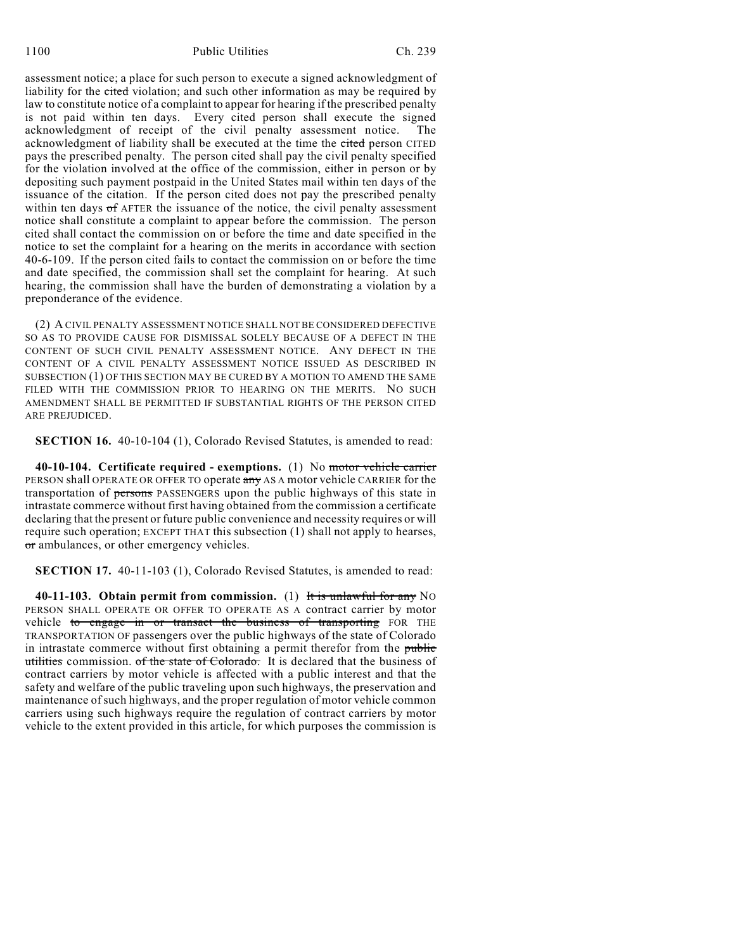1100 Public Utilities Ch. 239

assessment notice; a place for such person to execute a signed acknowledgment of liability for the cited violation; and such other information as may be required by law to constitute notice of a complaint to appear for hearing if the prescribed penalty is not paid within ten days. Every cited person shall execute the signed acknowledgment of receipt of the civil penalty assessment notice. The acknowledgment of liability shall be executed at the time the cited person CITED pays the prescribed penalty. The person cited shall pay the civil penalty specified for the violation involved at the office of the commission, either in person or by depositing such payment postpaid in the United States mail within ten days of the issuance of the citation. If the person cited does not pay the prescribed penalty within ten days of AFTER the issuance of the notice, the civil penalty assessment notice shall constitute a complaint to appear before the commission. The person cited shall contact the commission on or before the time and date specified in the notice to set the complaint for a hearing on the merits in accordance with section 40-6-109. If the person cited fails to contact the commission on or before the time and date specified, the commission shall set the complaint for hearing. At such hearing, the commission shall have the burden of demonstrating a violation by a preponderance of the evidence.

(2) A CIVIL PENALTY ASSESSMENT NOTICE SHALL NOT BE CONSIDERED DEFECTIVE SO AS TO PROVIDE CAUSE FOR DISMISSAL SOLELY BECAUSE OF A DEFECT IN THE CONTENT OF SUCH CIVIL PENALTY ASSESSMENT NOTICE. ANY DEFECT IN THE CONTENT OF A CIVIL PENALTY ASSESSMENT NOTICE ISSUED AS DESCRIBED IN SUBSECTION (1) OF THIS SECTION MAY BE CURED BY A MOTION TO AMEND THE SAME FILED WITH THE COMMISSION PRIOR TO HEARING ON THE MERITS. NO SUCH AMENDMENT SHALL BE PERMITTED IF SUBSTANTIAL RIGHTS OF THE PERSON CITED ARE PREJUDICED.

**SECTION 16.** 40-10-104 (1), Colorado Revised Statutes, is amended to read:

**40-10-104. Certificate required - exemptions.** (1) No motor vehicle carrier PERSON shall OPERATE OR OFFER TO operate any AS A motor vehicle CARRIER for the transportation of persons PASSENGERS upon the public highways of this state in intrastate commerce without first having obtained from the commission a certificate declaring that the present or future public convenience and necessity requires or will require such operation; EXCEPT THAT this subsection (1) shall not apply to hearses, or ambulances, or other emergency vehicles.

**SECTION 17.** 40-11-103 (1), Colorado Revised Statutes, is amended to read:

**40-11-103. Obtain permit from commission.** (1) It is unlawful for any NO PERSON SHALL OPERATE OR OFFER TO OPERATE AS A contract carrier by motor vehicle to engage in or transact the business of transporting FOR THE TRANSPORTATION OF passengers over the public highways of the state of Colorado in intrastate commerce without first obtaining a permit therefor from the public utilities commission. of the state of Colorado. It is declared that the business of contract carriers by motor vehicle is affected with a public interest and that the safety and welfare of the public traveling upon such highways, the preservation and maintenance of such highways, and the proper regulation of motor vehicle common carriers using such highways require the regulation of contract carriers by motor vehicle to the extent provided in this article, for which purposes the commission is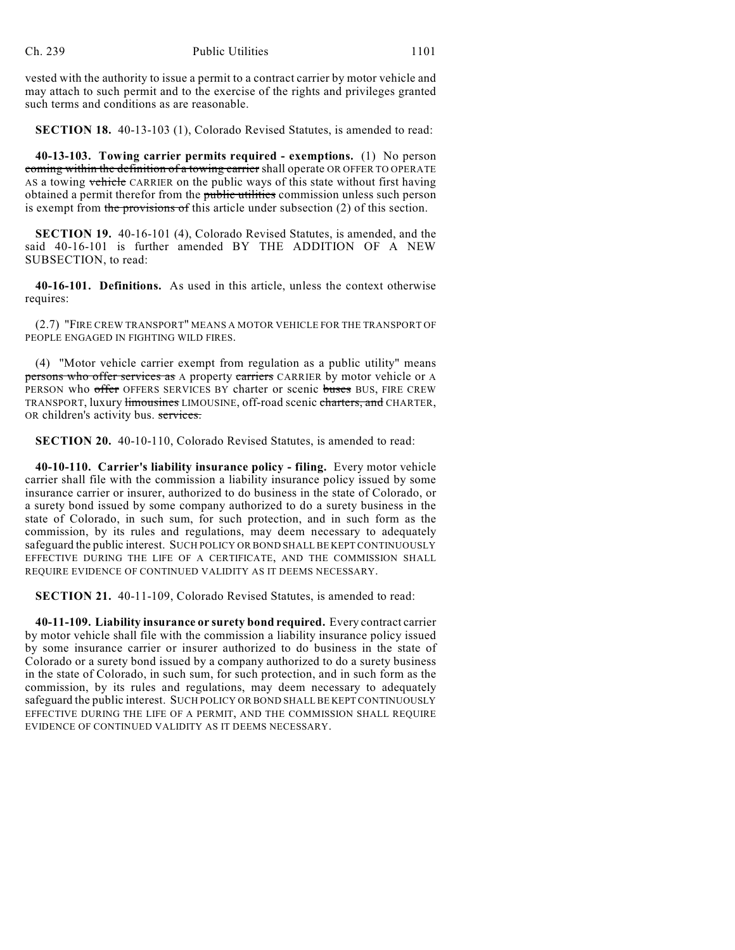vested with the authority to issue a permit to a contract carrier by motor vehicle and may attach to such permit and to the exercise of the rights and privileges granted such terms and conditions as are reasonable.

**SECTION 18.** 40-13-103 (1), Colorado Revised Statutes, is amended to read:

**40-13-103. Towing carrier permits required - exemptions.** (1) No person coming within the definition of a towing carrier shall operate OR OFFER TO OPERATE AS a towing vehicle CARRIER on the public ways of this state without first having obtained a permit therefor from the public utilities commission unless such person is exempt from the provisions of this article under subsection (2) of this section.

**SECTION 19.** 40-16-101 (4), Colorado Revised Statutes, is amended, and the said 40-16-101 is further amended BY THE ADDITION OF A NEW SUBSECTION, to read:

**40-16-101. Definitions.** As used in this article, unless the context otherwise requires:

(2.7) "FIRE CREW TRANSPORT" MEANS A MOTOR VEHICLE FOR THE TRANSPORT OF PEOPLE ENGAGED IN FIGHTING WILD FIRES.

(4) "Motor vehicle carrier exempt from regulation as a public utility" means persons who offer services as A property carriers CARRIER by motor vehicle or A PERSON who offer OFFERS SERVICES BY charter or scenic buses BUS, FIRE CREW TRANSPORT, luxury limousines LIMOUSINE, off-road scenic charters, and CHARTER, OR children's activity bus. services.

**SECTION 20.** 40-10-110, Colorado Revised Statutes, is amended to read:

**40-10-110. Carrier's liability insurance policy - filing.** Every motor vehicle carrier shall file with the commission a liability insurance policy issued by some insurance carrier or insurer, authorized to do business in the state of Colorado, or a surety bond issued by some company authorized to do a surety business in the state of Colorado, in such sum, for such protection, and in such form as the commission, by its rules and regulations, may deem necessary to adequately safeguard the public interest. SUCH POLICY OR BOND SHALL BE KEPT CONTINUOUSLY EFFECTIVE DURING THE LIFE OF A CERTIFICATE, AND THE COMMISSION SHALL REQUIRE EVIDENCE OF CONTINUED VALIDITY AS IT DEEMS NECESSARY.

**SECTION 21.** 40-11-109, Colorado Revised Statutes, is amended to read:

**40-11-109. Liability insurance or surety bond required.** Every contract carrier by motor vehicle shall file with the commission a liability insurance policy issued by some insurance carrier or insurer authorized to do business in the state of Colorado or a surety bond issued by a company authorized to do a surety business in the state of Colorado, in such sum, for such protection, and in such form as the commission, by its rules and regulations, may deem necessary to adequately safeguard the public interest. SUCH POLICY OR BOND SHALL BE KEPT CONTINUOUSLY EFFECTIVE DURING THE LIFE OF A PERMIT, AND THE COMMISSION SHALL REQUIRE EVIDENCE OF CONTINUED VALIDITY AS IT DEEMS NECESSARY.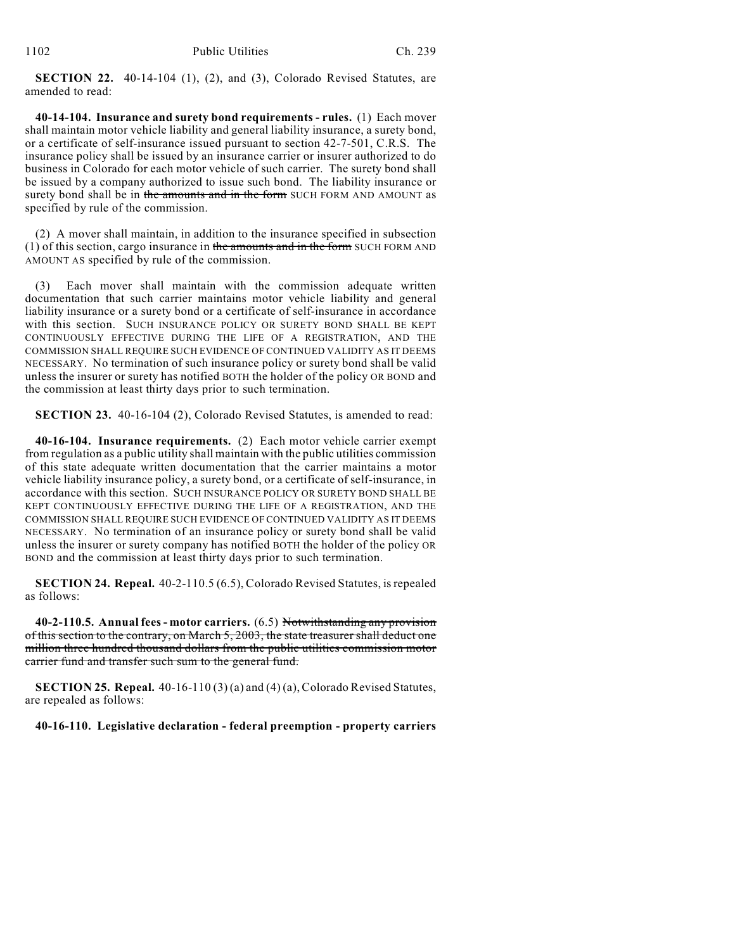**SECTION 22.** 40-14-104 (1), (2), and (3), Colorado Revised Statutes, are amended to read:

**40-14-104. Insurance and surety bond requirements - rules.** (1) Each mover shall maintain motor vehicle liability and general liability insurance, a surety bond, or a certificate of self-insurance issued pursuant to section 42-7-501, C.R.S. The insurance policy shall be issued by an insurance carrier or insurer authorized to do business in Colorado for each motor vehicle of such carrier. The surety bond shall be issued by a company authorized to issue such bond. The liability insurance or surety bond shall be in the amounts and in the form SUCH FORM AND AMOUNT as specified by rule of the commission.

(2) A mover shall maintain, in addition to the insurance specified in subsection  $(1)$  of this section, cargo insurance in the amounts and in the form SUCH FORM AND AMOUNT AS specified by rule of the commission.

(3) Each mover shall maintain with the commission adequate written documentation that such carrier maintains motor vehicle liability and general liability insurance or a surety bond or a certificate of self-insurance in accordance with this section. SUCH INSURANCE POLICY OR SURETY BOND SHALL BE KEPT CONTINUOUSLY EFFECTIVE DURING THE LIFE OF A REGISTRATION, AND THE COMMISSION SHALL REQUIRE SUCH EVIDENCE OF CONTINUED VALIDITY AS IT DEEMS NECESSARY. No termination of such insurance policy or surety bond shall be valid unless the insurer or surety has notified BOTH the holder of the policy OR BOND and the commission at least thirty days prior to such termination.

**SECTION 23.** 40-16-104 (2), Colorado Revised Statutes, is amended to read:

**40-16-104. Insurance requirements.** (2) Each motor vehicle carrier exempt from regulation as a public utility shall maintain with the public utilities commission of this state adequate written documentation that the carrier maintains a motor vehicle liability insurance policy, a surety bond, or a certificate of self-insurance, in accordance with this section. SUCH INSURANCE POLICY OR SURETY BOND SHALL BE KEPT CONTINUOUSLY EFFECTIVE DURING THE LIFE OF A REGISTRATION, AND THE COMMISSION SHALL REQUIRE SUCH EVIDENCE OF CONTINUED VALIDITY AS IT DEEMS NECESSARY. No termination of an insurance policy or surety bond shall be valid unless the insurer or surety company has notified BOTH the holder of the policy OR BOND and the commission at least thirty days prior to such termination.

**SECTION 24. Repeal.** 40-2-110.5 (6.5), Colorado Revised Statutes, is repealed as follows:

**40-2-110.5. Annual fees - motor carriers.** (6.5) Notwithstanding any provision of this section to the contrary, on March 5, 2003, the state treasurer shall deduct one million three hundred thousand dollars from the public utilities commission motor carrier fund and transfer such sum to the general fund.

**SECTION 25. Repeal.** 40-16-110 (3) (a) and (4) (a), Colorado Revised Statutes, are repealed as follows:

**40-16-110. Legislative declaration - federal preemption - property carriers**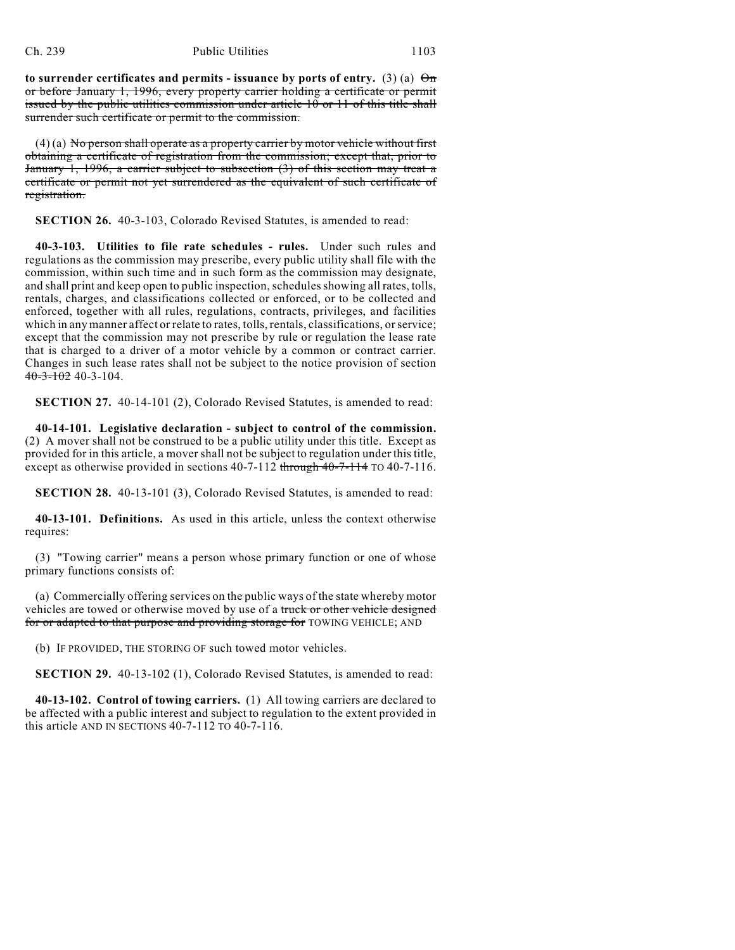to surrender certificates and permits - issuance by ports of entry. (3) (a)  $\Theta$ m or before January 1, 1996, every property carrier holding a certificate or permit issued by the public utilities commission under article 10 or 11 of this title shall surrender such certificate or permit to the commission.

 $(4)$  (a) No person shall operate as a property carrier by motor vehicle without first obtaining a certificate of registration from the commission; except that, prior to January 1, 1996, a carrier subject to subsection (3) of this section may treat a certificate or permit not yet surrendered as the equivalent of such certificate of registration.

**SECTION 26.** 40-3-103, Colorado Revised Statutes, is amended to read:

**40-3-103. Utilities to file rate schedules - rules.** Under such rules and regulations as the commission may prescribe, every public utility shall file with the commission, within such time and in such form as the commission may designate, and shall print and keep open to public inspection, schedules showing all rates, tolls, rentals, charges, and classifications collected or enforced, or to be collected and enforced, together with all rules, regulations, contracts, privileges, and facilities which in any manner affect or relate to rates, tolls, rentals, classifications, or service; except that the commission may not prescribe by rule or regulation the lease rate that is charged to a driver of a motor vehicle by a common or contract carrier. Changes in such lease rates shall not be subject to the notice provision of section  $40 - 3 - 102$  40-3-104.

**SECTION 27.** 40-14-101 (2), Colorado Revised Statutes, is amended to read:

**40-14-101. Legislative declaration - subject to control of the commission.** (2) A mover shall not be construed to be a public utility under this title. Except as provided for in this article, a mover shall not be subject to regulation under this title, except as otherwise provided in sections 40-7-112 through 40-7-114 TO 40-7-116.

**SECTION 28.** 40-13-101 (3), Colorado Revised Statutes, is amended to read:

**40-13-101. Definitions.** As used in this article, unless the context otherwise requires:

(3) "Towing carrier" means a person whose primary function or one of whose primary functions consists of:

(a) Commercially offering services on the public ways of the state whereby motor vehicles are towed or otherwise moved by use of a truck or other vehicle designed for or adapted to that purpose and providing storage for TOWING VEHICLE; AND

(b) IF PROVIDED, THE STORING OF such towed motor vehicles.

**SECTION 29.** 40-13-102 (1), Colorado Revised Statutes, is amended to read:

**40-13-102. Control of towing carriers.** (1) All towing carriers are declared to be affected with a public interest and subject to regulation to the extent provided in this article AND IN SECTIONS  $40-7-112$  TO  $40-7-116$ .